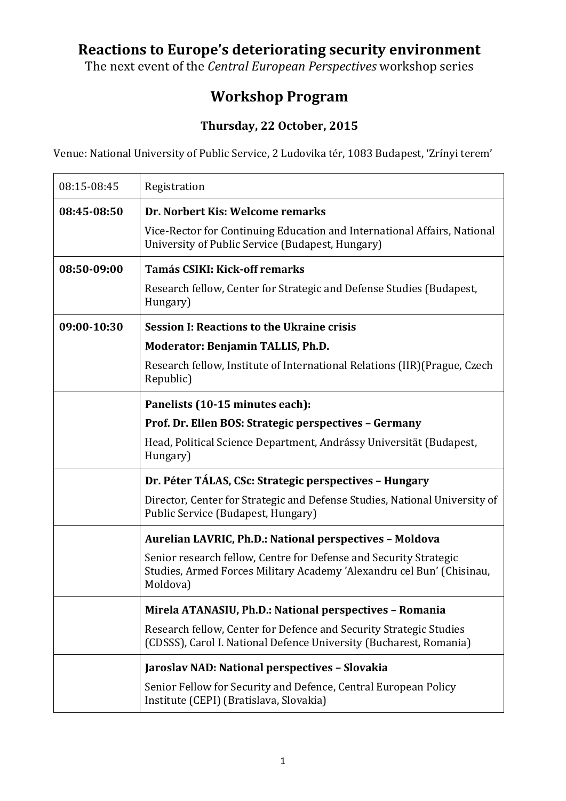## **Reactions to Europe's deteriorating security environment**

The next event of the *Central European Perspectives* workshop series

## **Workshop Program**

## **Thursday, 22 October, 2015**

Venue: National University of Public Service, 2 Ludovika tér, 1083 Budapest, 'Zrínyi terem'

| 08:15-08:45 | Registration                                                                                                                                           |
|-------------|--------------------------------------------------------------------------------------------------------------------------------------------------------|
| 08:45-08:50 | Dr. Norbert Kis: Welcome remarks                                                                                                                       |
|             | Vice-Rector for Continuing Education and International Affairs, National<br>University of Public Service (Budapest, Hungary)                           |
| 08:50-09:00 | <b>Tamás CSIKI: Kick-off remarks</b>                                                                                                                   |
|             | Research fellow, Center for Strategic and Defense Studies (Budapest,<br>Hungary)                                                                       |
| 09:00-10:30 | <b>Session I: Reactions to the Ukraine crisis</b>                                                                                                      |
|             | <b>Moderator: Benjamin TALLIS, Ph.D.</b>                                                                                                               |
|             | Research fellow, Institute of International Relations (IIR) (Prague, Czech<br>Republic)                                                                |
|             | Panelists (10-15 minutes each):                                                                                                                        |
|             | Prof. Dr. Ellen BOS: Strategic perspectives - Germany                                                                                                  |
|             | Head, Political Science Department, Andrássy Universität (Budapest,<br>Hungary)                                                                        |
|             | Dr. Péter TÁLAS, CSc: Strategic perspectives - Hungary                                                                                                 |
|             | Director, Center for Strategic and Defense Studies, National University of<br>Public Service (Budapest, Hungary)                                       |
|             | Aurelian LAVRIC, Ph.D.: National perspectives - Moldova                                                                                                |
|             | Senior research fellow, Centre for Defense and Security Strategic<br>Studies, Armed Forces Military Academy 'Alexandru cel Bun' (Chisinau,<br>Moldova) |
|             | Mirela ATANASIU, Ph.D.: National perspectives - Romania                                                                                                |
|             | Research fellow, Center for Defence and Security Strategic Studies<br>(CDSSS), Carol I. National Defence University (Bucharest, Romania)               |
|             | Jaroslav NAD: National perspectives - Slovakia                                                                                                         |
|             | Senior Fellow for Security and Defence, Central European Policy<br>Institute (CEPI) (Bratislava, Slovakia)                                             |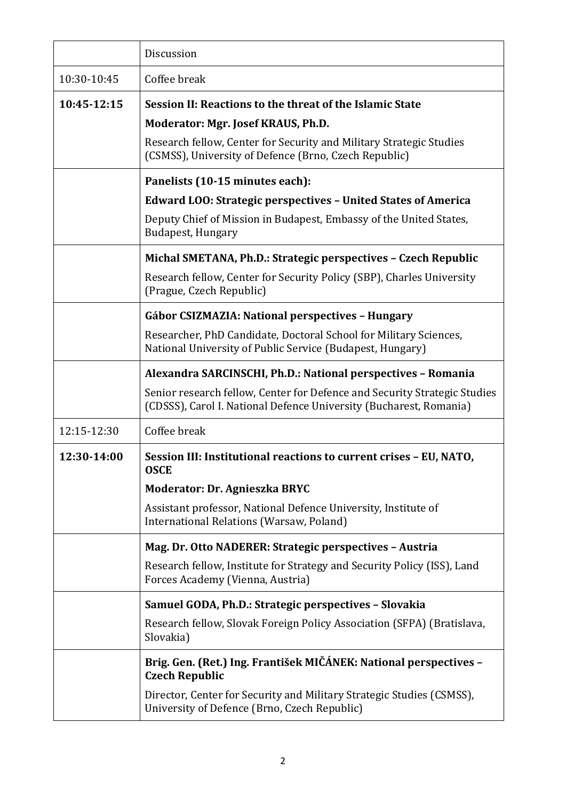|             | Discussion                                                                                                                                      |
|-------------|-------------------------------------------------------------------------------------------------------------------------------------------------|
| 10:30-10:45 | Coffee break                                                                                                                                    |
| 10:45-12:15 | Session II: Reactions to the threat of the Islamic State                                                                                        |
|             | Moderator: Mgr. Josef KRAUS, Ph.D.                                                                                                              |
|             | Research fellow, Center for Security and Military Strategic Studies<br>(CSMSS), University of Defence (Brno, Czech Republic)                    |
|             | Panelists (10-15 minutes each):                                                                                                                 |
|             | <b>Edward LOO: Strategic perspectives - United States of America</b>                                                                            |
|             | Deputy Chief of Mission in Budapest, Embassy of the United States,<br>Budapest, Hungary                                                         |
|             | Michal SMETANA, Ph.D.: Strategic perspectives - Czech Republic                                                                                  |
|             | Research fellow, Center for Security Policy (SBP), Charles University<br>(Prague, Czech Republic)                                               |
|             | Gábor CSIZMAZIA: National perspectives - Hungary                                                                                                |
|             | Researcher, PhD Candidate, Doctoral School for Military Sciences,<br>National University of Public Service (Budapest, Hungary)                  |
|             | Alexandra SARCINSCHI, Ph.D.: National perspectives - Romania                                                                                    |
|             | Senior research fellow, Center for Defence and Security Strategic Studies<br>(CDSSS), Carol I. National Defence University (Bucharest, Romania) |
| 12:15-12:30 | Coffee break                                                                                                                                    |
| 12:30-14:00 | Session III: Institutional reactions to current crises - EU, NATO,<br><b>OSCE</b>                                                               |
|             | Moderator: Dr. Agnieszka BRYC                                                                                                                   |
|             | Assistant professor, National Defence University, Institute of<br>International Relations (Warsaw, Poland)                                      |
|             | Mag. Dr. Otto NADERER: Strategic perspectives - Austria                                                                                         |
|             | Research fellow, Institute for Strategy and Security Policy (ISS), Land<br>Forces Academy (Vienna, Austria)                                     |
|             | Samuel GODA, Ph.D.: Strategic perspectives - Slovakia                                                                                           |
|             | Research fellow, Slovak Foreign Policy Association (SFPA) (Bratislava,<br>Slovakia)                                                             |
|             | Brig. Gen. (Ret.) Ing. František MIČÁNEK: National perspectives -<br><b>Czech Republic</b>                                                      |
|             | Director, Center for Security and Military Strategic Studies (CSMSS),<br>University of Defence (Brno, Czech Republic)                           |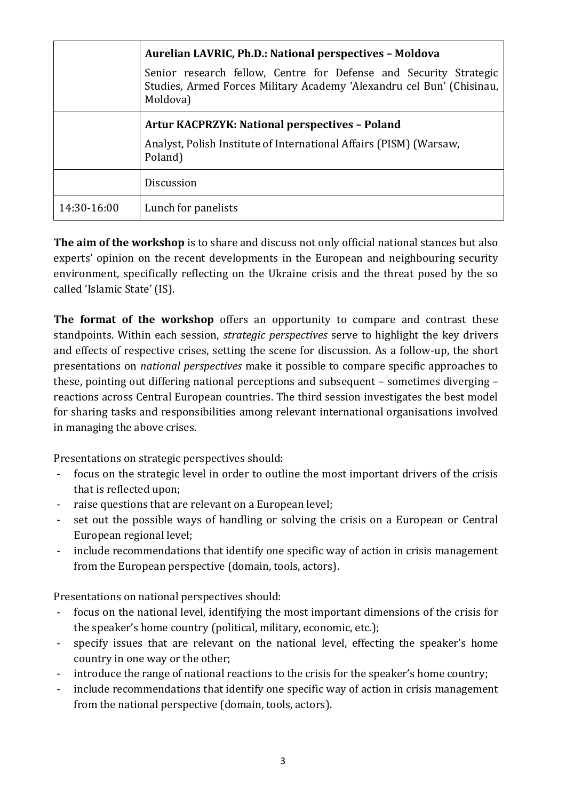|             | Aurelian LAVRIC, Ph.D.: National perspectives - Moldova                                                                                                |
|-------------|--------------------------------------------------------------------------------------------------------------------------------------------------------|
|             | Senior research fellow, Centre for Defense and Security Strategic<br>Studies, Armed Forces Military Academy 'Alexandru cel Bun' (Chisinau,<br>Moldova) |
|             | <b>Artur KACPRZYK: National perspectives - Poland</b>                                                                                                  |
|             | Analyst, Polish Institute of International Affairs (PISM) (Warsaw,<br>Poland)                                                                          |
|             | <b>Discussion</b>                                                                                                                                      |
| 14:30-16:00 | Lunch for panelists                                                                                                                                    |

**The aim of the workshop** is to share and discuss not only official national stances but also experts' opinion on the recent developments in the European and neighbouring security environment, specifically reflecting on the Ukraine crisis and the threat posed by the so called 'Islamic State' (IS).

**The format of the workshop** offers an opportunity to compare and contrast these standpoints. Within each session, *strategic perspectives* serve to highlight the key drivers and effects of respective crises, setting the scene for discussion. As a follow-up, the short presentations on *national perspectives* make it possible to compare specific approaches to these, pointing out differing national perceptions and subsequent – sometimes diverging – reactions across Central European countries. The third session investigates the best model for sharing tasks and responsibilities among relevant international organisations involved in managing the above crises.

Presentations on strategic perspectives should:

- focus on the strategic level in order to outline the most important drivers of the crisis that is reflected upon;
- raise questions that are relevant on a European level;
- set out the possible ways of handling or solving the crisis on a European or Central European regional level;
- include recommendations that identify one specific way of action in crisis management from the European perspective (domain, tools, actors).

Presentations on national perspectives should:

- focus on the national level, identifying the most important dimensions of the crisis for the speaker's home country (political, military, economic, etc.);
- specify issues that are relevant on the national level, effecting the speaker's home country in one way or the other;
- introduce the range of national reactions to the crisis for the speaker's home country;
- include recommendations that identify one specific way of action in crisis management from the national perspective (domain, tools, actors).